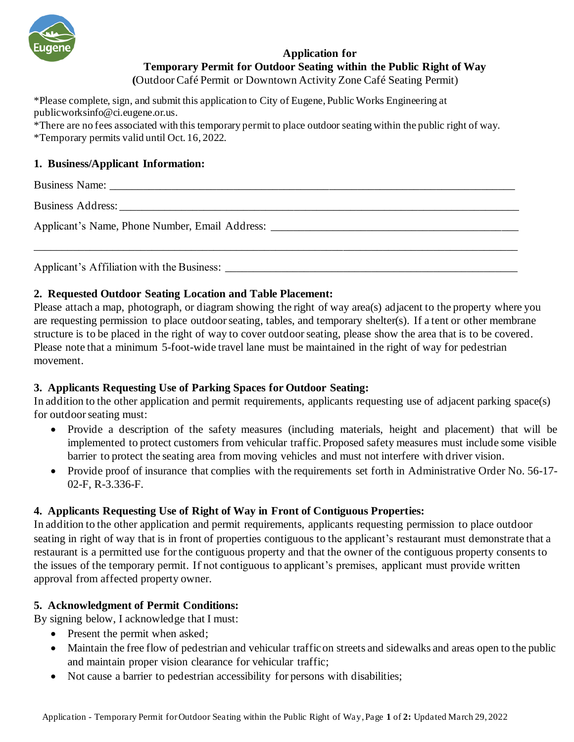

# **Application for Temporary Permit for Outdoor Seating within the Public Right of Way**

**(**Outdoor Café Permit or Downtown Activity Zone Café Seating Permit)

\*Please complete, sign, and submit this application to City of Eugene, Public Works Engineering at publicworksinfo@ci.eugene.or.us.

\*There are no fees associated with this temporary permit to place outdoor seating within the public right of way. \*Temporary permits valid until Oct. 16, 2022.

### **1. Business/Applicant Information:**

Business Name: Business Address: Applicant's Name, Phone Number, Email Address: \_\_\_\_\_\_\_\_\_\_\_\_\_\_\_\_\_\_\_\_\_\_\_\_\_\_\_\_\_\_\_\_\_\_ \_\_\_\_\_\_\_\_\_\_\_\_\_\_\_\_\_\_\_\_\_\_\_\_\_\_\_\_\_\_\_\_\_\_\_\_\_\_\_\_\_\_\_\_\_\_\_\_\_\_\_\_\_\_\_\_\_\_\_\_\_\_\_\_\_\_\_\_\_\_\_\_\_\_\_\_\_\_\_\_\_\_\_\_\_\_

Applicant's Affiliation with the Business:

#### **2. Requested Outdoor Seating Location and Table Placement:**

Please attach a map, photograph, or diagram showing the right of way area(s) adjacent to the property where you are requesting permission to place outdoor seating, tables, and temporary shelter(s). If a tent or other membrane structure is to be placed in the right of way to cover outdoor seating, please show the area that is to be covered. Please note that a minimum 5-foot-wide travel lane must be maintained in the right of way for pedestrian movement.

## **3. Applicants Requesting Use of Parking Spaces for Outdoor Seating:**

In addition to the other application and permit requirements, applicants requesting use of adjacent parking space(s) for outdoor seating must:

- Provide a description of the safety measures (including materials, height and placement) that will be implemented to protect customers from vehicular traffic. Proposed safety measures must include some visible barrier to protect the seating area from moving vehicles and must not interfere with driver vision.
- Provide proof of insurance that complies with the requirements set forth in Administrative Order No. 56-17-02-F, R-3.336-F.

## **4. Applicants Requesting Use of Right of Way in Front of Contiguous Properties:**

In addition to the other application and permit requirements, applicants requesting permission to place outdoor seating in right of way that is in front of properties contiguous to the applicant's restaurant must demonstrate that a restaurant is a permitted use for the contiguous property and that the owner of the contiguous property consents to the issues of the temporary permit. If not contiguous to applicant's premises, applicant must provide written approval from affected property owner.

#### **5. Acknowledgment of Permit Conditions:**

By signing below, I acknowledge that I must:

- Present the permit when asked;
- Maintain the free flow of pedestrian and vehicular traffic on streets and sidewalks and areas open to the public and maintain proper vision clearance for vehicular traffic;
- Not cause a barrier to pedestrian accessibility for persons with disabilities;